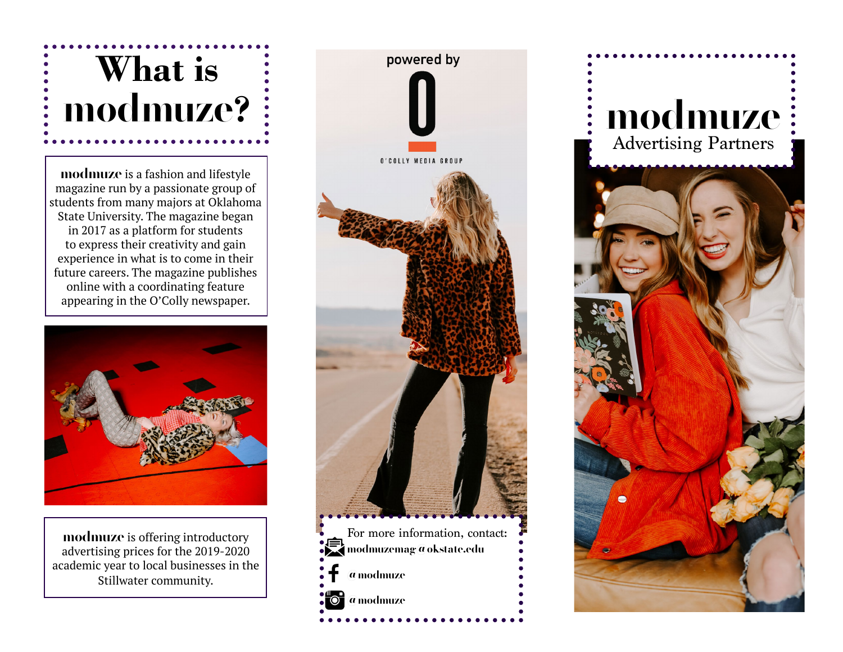## **What is modmuze?**

**modmuze** is a fashion and lifestyle magazine run by a passionate group of students from many majors at Oklahoma State University. The magazine began in 2017 as a platform for students to express their creativity and gain experience in what is to come in their future careers. The magazine publishes online with a coordinating feature appearing in the O'Colly newspaper.



**modmuze** is offering introductory advertising prices for the 2019-2020 academic year to local businesses in the Stillwater community.